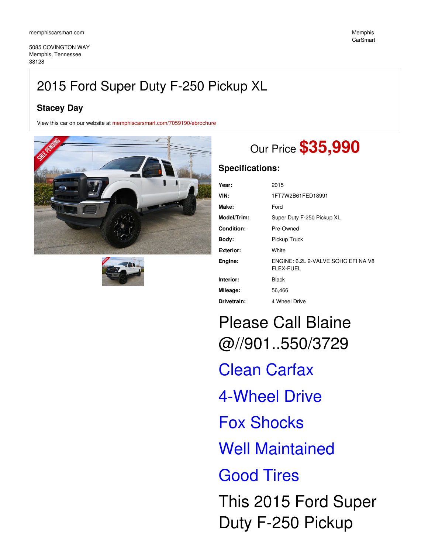5085 COVINGTON WAY Memphis, Tennessee 38128

## **Stacey Day**

View this car on our website at [memphiscarsmart.com/7059190/ebrochure](https://memphiscarsmart.com/vehicle/7059190/2015-ford-super-duty-f-250-pickup-xl-memphis-tennessee-38128/7059190/ebrochure)





# Our Price **\$35,990**

### **Specifications:**

| Year:             | 2015                                             |
|-------------------|--------------------------------------------------|
| VIN:              | 1FT7W2B61FED18991                                |
| Make:             | Ford                                             |
| Model/Trim:       | Super Duty F-250 Pickup XL                       |
| <b>Condition:</b> | Pre-Owned                                        |
| Body:             | Pickup Truck                                     |
| <b>Exterior:</b>  | White                                            |
| Engine:           | ENGINE: 6.2L 2-VALVE SOHC EFI NA V8<br>FLEX-FUEL |
| Interior:         | Black                                            |
| Mileage:          | 56,466                                           |
| Drivetrain:       | 4 Wheel Drive                                    |

Please Call Blaine @//901..550/3729 Clean Carfax 4-Wheel Drive Fox Shocks Well Maintained Good Tires This 2015 Ford Super Duty F-250 Pickup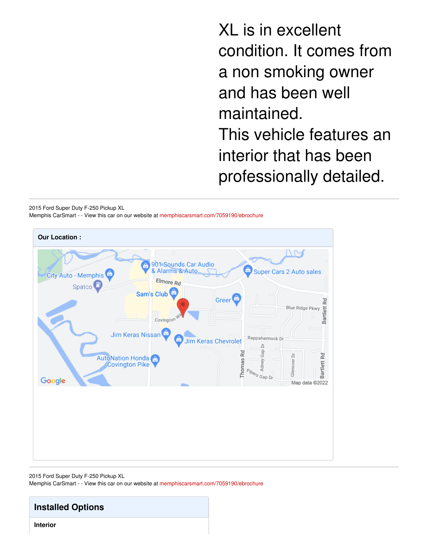XL is in excellent condition. It comes from a non smoking owner and has been well maintained. This vehicle features an interior that has been professionally detailed.

2015 Ford Super Duty F-250 Pickup XL Memphis CarSmart - - View this car on our website at [memphiscarsmart.com/7059190/ebrochure](https://memphiscarsmart.com/vehicle/7059190/2015-ford-super-duty-f-250-pickup-xl-memphis-tennessee-38128/7059190/ebrochure)



2015 Ford Super Duty F-250 Pickup XL

Memphis CarSmart - - View this car on our website at [memphiscarsmart.com/7059190/ebrochure](https://memphiscarsmart.com/vehicle/7059190/2015-ford-super-duty-f-250-pickup-xl-memphis-tennessee-38128/7059190/ebrochure)

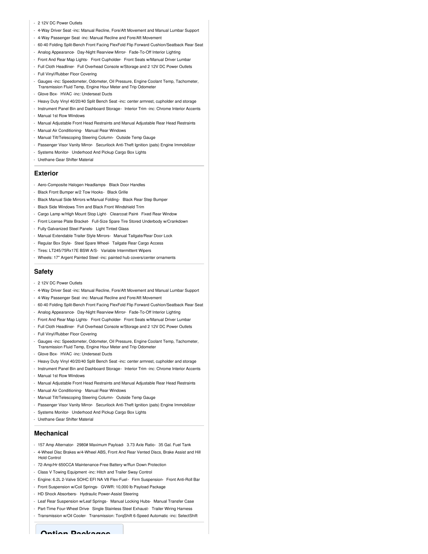#### - 2 12V DC Power Outlets

- 4-Way Driver Seat -inc: Manual Recline, Fore/Aft Movement and Manual Lumbar Support
- 4-Way Passenger Seat -inc: Manual Recline and Fore/Aft Movement
- 60-40 Folding Split-Bench Front Facing FlexFold Flip Forward Cushion/Seatback Rear Seat
- Analog Appearance- Day-Night Rearview Mirror- Fade-To-Off Interior Lighting
- Front And Rear Map Lights- Front Cupholder- Front Seats w/Manual Driver Lumbar
- Full Cloth Headliner- Full Overhead Console w/Storage and 2 12V DC Power Outlets
- Full Vinyl/Rubber Floor Covering
- Gauges -inc: Speedometer, Odometer, Oil Pressure, Engine Coolant Temp, Tachometer, Transmission Fluid Temp, Engine Hour Meter and Trip Odometer
- Glove Box- HVAC -inc: Underseat Ducts
- Heavy Duty Vinyl 40/20/40 Split Bench Seat -inc: center armrest, cupholder and storage
- Instrument Panel Bin and Dashboard Storage- Interior Trim -inc: Chrome Interior Accents - Manual 1st Row Windows
- Manual Adjustable Front Head Restraints and Manual Adjustable Rear Head Restraints
- Manual Air Conditioning- Manual Rear Windows
- Manual Tilt/Telescoping Steering Column- Outside Temp Gauge
- Passenger Visor Vanity Mirror- Securilock Anti-Theft Ignition (pats) Engine Immobilizer
- Systems Monitor- Underhood And Pickup Cargo Box Lights
- Urethane Gear Shifter Material

#### **Exterior**

- Aero-Composite Halogen Headlamps- Black Door Handles
- Black Front Bumper w/2 Tow Hooks- Black Grille
- Black Manual Side Mirrors w/Manual Folding- Black Rear Step Bumper
- Black Side Windows Trim and Black Front Windshield Trim
- Cargo Lamp w/High Mount Stop Light- Clearcoat Paint- Fixed Rear Window
- Front License Plate Bracket- Full-Size Spare Tire Stored Underbody w/Crankdown
- Fully Galvanized Steel Panels- Light Tinted Glass
- Manual Extendable Trailer Style Mirrors- Manual Tailgate/Rear Door Lock
- Regular Box Style- Steel Spare Wheel- Tailgate Rear Cargo Access
- Tires: LT245/75Rx17E BSW A/S- Variable Intermittent Wipers
- Wheels: 17" Argent Painted Steel -inc: painted hub covers/center ornaments

#### **Safety**

- 2 12V DC Power Outlets
- 4-Way Driver Seat -inc: Manual Recline, Fore/Aft Movement and Manual Lumbar Support
- 4-Way Passenger Seat -inc: Manual Recline and Fore/Aft Movement
- 60-40 Folding Split-Bench Front Facing FlexFold Flip Forward Cushion/Seatback Rear Seat
- Analog Appearance- Day-Night Rearview Mirror- Fade-To-Off Interior Lighting
- Front And Rear Map Lights- Front Cupholder- Front Seats w/Manual Driver Lumbar
- Full Cloth Headliner- Full Overhead Console w/Storage and 2 12V DC Power Outlets
- Full Vinyl/Rubber Floor Covering
- Gauges -inc: Speedometer, Odometer, Oil Pressure, Engine Coolant Temp, Tachometer, Transmission Fluid Temp, Engine Hour Meter and Trip Odometer
- Glove Box- HVAC -inc: Underseat Ducts
- Heavy Duty Vinyl 40/20/40 Split Bench Seat -inc: center armrest, cupholder and storage
- Instrument Panel Bin and Dashboard Storage- Interior Trim -inc: Chrome Interior Accents
- Manual 1st Row Windows
- Manual Adjustable Front Head Restraints and Manual Adjustable Rear Head Restraints
- Manual Air Conditioning- Manual Rear Windows
- Manual Tilt/Telescoping Steering Column- Outside Temp Gauge
- Passenger Visor Vanity Mirror- Securilock Anti-Theft Ignition (pats) Engine Immobilizer
- Systems Monitor- Underhood And Pickup Cargo Box Lights
- Urethane Gear Shifter Material

#### **Mechanical**

- 157 Amp Alternator- 2980# Maximum Payload- 3.73 Axle Ratio- 35 Gal. Fuel Tank
- 4-Wheel Disc Brakes w/4-Wheel ABS, Front And Rear Vented Discs, Brake Assist and Hill Hold Control
- 72-Amp/Hr 650CCA Maintenance-Free Battery w/Run Down Protection
- Class V Towing Equipment -inc: Hitch and Trailer Sway Control
- Engine: 6.2L 2-Valve SOHC EFI NA V8 Flex-Fuel- Firm Suspension- Front Anti-Roll Bar
- Front Suspension w/Coil Springs- GVWR: 10,000 lb Payload Package
- HD Shock Absorbers- Hydraulic Power-Assist Steering
- Leaf Rear Suspension w/Leaf Springs- Manual Locking Hubs- Manual Transfer Case
- Part-Time Four-Wheel Drive- Single Stainless Steel Exhaust- Trailer Wiring Harness
- Transmission w/Oil Cooler- Transmission: TorqShift 6-Speed Automatic -inc: SelectShift